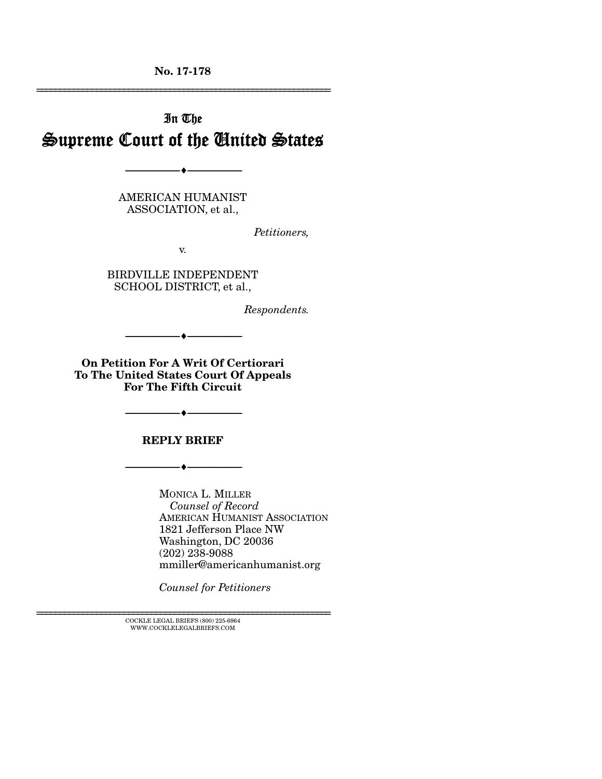No. 17-178 ================================================================

# In The Supreme Court of the United States

AMERICAN HUMANIST ASSOCIATION, et al.,

--------------------------------- ---------------------------------

*Petitioners,* 

v.

BIRDVILLE INDEPENDENT SCHOOL DISTRICT, et al.,

*Respondents.* 

On Petition For A Writ Of Certiorari To The United States Court Of Appeals For The Fifth Circuit

--------------------------------- ---------------------------------

REPLY BRIEF

--------------------------------- ---------------------------------

MONICA L. MILLER  *Counsel of Record*  AMERICAN HUMANIST ASSOCIATION 1821 Jefferson Place NW Washington, DC 20036 (202) 238-9088 mmiller@americanhumanist.org

*Counsel for Petitioners* 

--------------------------------- ---------------------------------

 $\textsc{COCKLE}$  LEGAL BRIEFS (800) 225-6964 WWW.COCKLELEGALBRIEFS.COM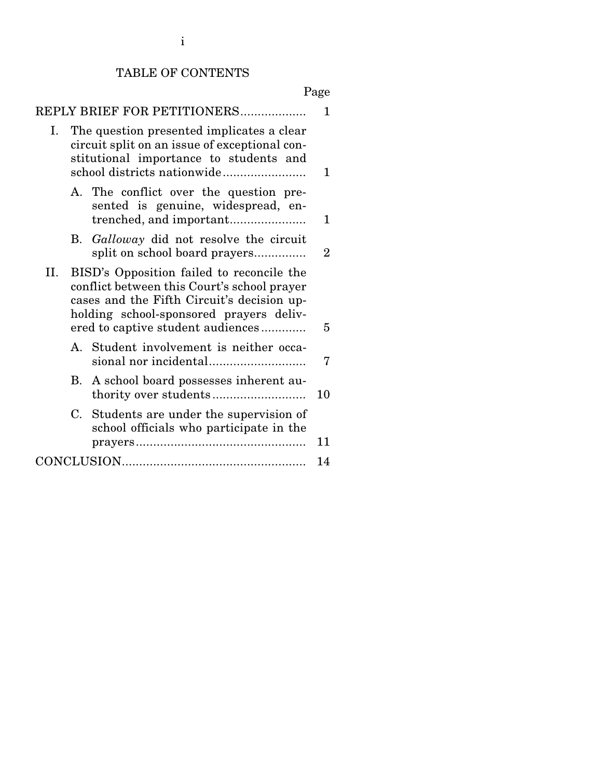## TABLE OF CONTENTS

| Page                                                                                                                                                                                                                          |    |
|-------------------------------------------------------------------------------------------------------------------------------------------------------------------------------------------------------------------------------|----|
| REPLY BRIEF FOR PETITIONERS                                                                                                                                                                                                   | 1  |
| The question presented implicates a clear<br>Ι.<br>circuit split on an issue of exceptional con-<br>stitutional importance to students and                                                                                    | 1  |
| A. The conflict over the question pre-<br>sented is genuine, widespread, en-                                                                                                                                                  | 1  |
| B. Galloway did not resolve the circuit<br>split on school board prayers                                                                                                                                                      | 2  |
| II.<br>BISD's Opposition failed to reconcile the<br>conflict between this Court's school prayer<br>cases and the Fifth Circuit's decision up-<br>holding school-sponsored prayers deliv-<br>ered to captive student audiences | 5  |
| A. Student involvement is neither occa-                                                                                                                                                                                       | 7  |
| A school board possesses inherent au-<br>B.                                                                                                                                                                                   | 10 |
| Students are under the supervision of<br>C.<br>school officials who participate in the                                                                                                                                        | 11 |
|                                                                                                                                                                                                                               | 14 |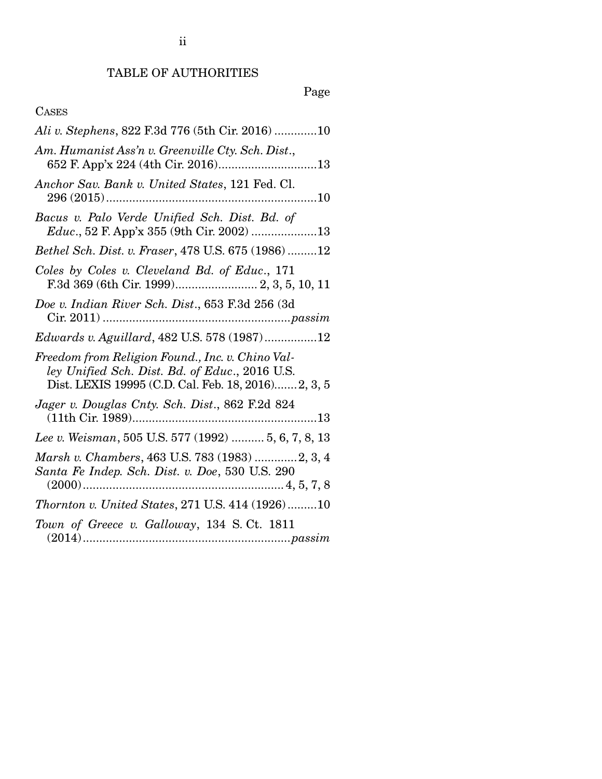ii

# Page

## CASES

| Ali v. Stephens, 822 F.3d 776 (5th Cir. 2016) 10                                                                                                          |
|-----------------------------------------------------------------------------------------------------------------------------------------------------------|
| Am. Humanist Ass'n v. Greenville Cty. Sch. Dist.,                                                                                                         |
| Anchor Sav. Bank v. United States, 121 Fed. Cl.                                                                                                           |
| Bacus v. Palo Verde Unified Sch. Dist. Bd. of                                                                                                             |
| Bethel Sch. Dist. v. Fraser, 478 U.S. 675 (1986) 12                                                                                                       |
| Coles by Coles v. Cleveland Bd. of Educ., 171<br>F.3d 369 (6th Cir. 1999) 2, 3, 5, 10, 11                                                                 |
| Doe v. Indian River Sch. Dist., 653 F.3d 256 (3d                                                                                                          |
| Edwards v. Aguillard, 482 U.S. 578 (1987)12                                                                                                               |
| Freedom from Religion Found., Inc. v. Chino Val-<br>ley Unified Sch. Dist. Bd. of Educ., 2016 U.S.<br>Dist. LEXIS 19995 (C.D. Cal. Feb. 18, 2016) 2, 3, 5 |
| Jager v. Douglas Cnty. Sch. Dist., 862 F.2d 824                                                                                                           |
| Lee v. Weisman, 505 U.S. 577 (1992)  5, 6, 7, 8, 13                                                                                                       |
| Marsh v. Chambers, 463 U.S. 783 (1983) 2, 3, 4<br>Santa Fe Indep. Sch. Dist. v. Doe, 530 U.S. 290                                                         |
| Thornton v. United States, 271 U.S. 414 (1926)10                                                                                                          |
| Town of Greece v. Galloway, 134 S.Ct. 1811                                                                                                                |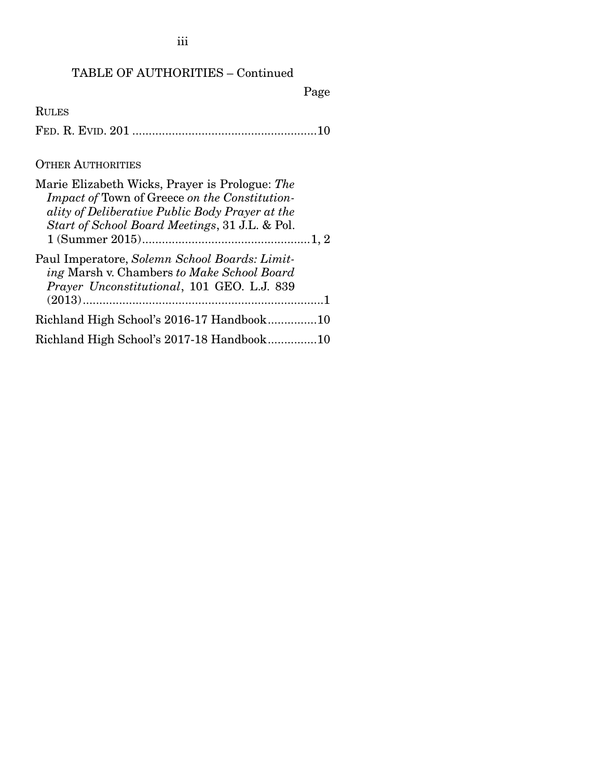iii

## TABLE OF AUTHORITIES – Continued

Page

RULES FED. R. EVID. 201 ........................................................ 10

### OTHER AUTHORITIES

| Marie Elizabeth Wicks, Prayer is Prologue: The<br>Impact of Town of Greece on the Constitution-<br>ality of Deliberative Public Body Prayer at the<br>Start of School Board Meetings, 31 J.L. & Pol. |  |
|------------------------------------------------------------------------------------------------------------------------------------------------------------------------------------------------------|--|
| Paul Imperatore, Solemn School Boards: Limit-<br>ing Marsh v. Chambers to Make School Board<br>Prayer Unconstitutional, 101 GEO. L.J. 839                                                            |  |
|                                                                                                                                                                                                      |  |
| Richland High School's 2016-17 Handbook10                                                                                                                                                            |  |
| Richland High School's 2017-18 Handbook10                                                                                                                                                            |  |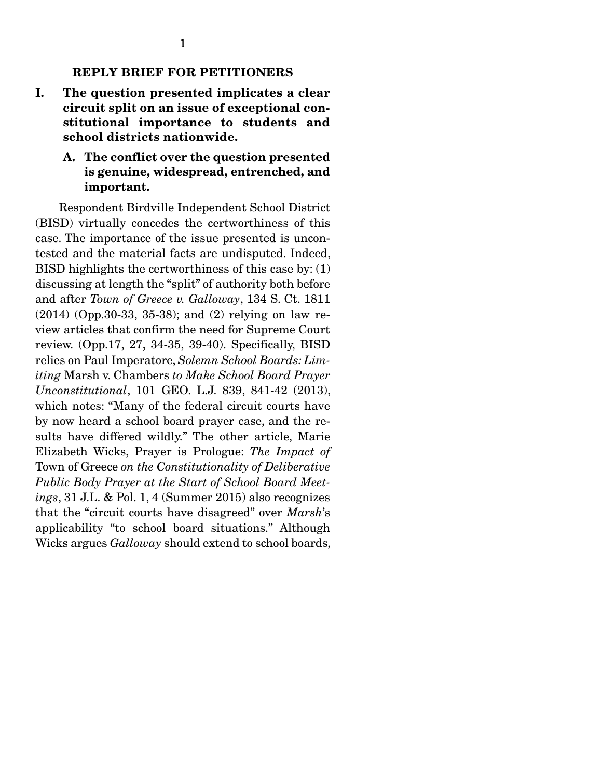#### REPLY BRIEF FOR PETITIONERS

I. The question presented implicates a clear circuit split on an issue of exceptional constitutional importance to students and school districts nationwide.

#### A. The conflict over the question presented is genuine, widespread, entrenched, and important.

Respondent Birdville Independent School District (BISD) virtually concedes the certworthiness of this case. The importance of the issue presented is uncontested and the material facts are undisputed. Indeed, BISD highlights the certworthiness of this case by: (1) discussing at length the "split" of authority both before and after *Town of Greece v. Galloway*, 134 S. Ct. 1811 (2014) (Opp.30-33, 35-38); and (2) relying on law review articles that confirm the need for Supreme Court review. (Opp.17, 27, 34-35, 39-40). Specifically, BISD relies on Paul Imperatore, *Solemn School Boards: Limiting* Marsh v. Chambers *to Make School Board Prayer Unconstitutional*, 101 GEO. L.J. 839, 841-42 (2013), which notes: "Many of the federal circuit courts have by now heard a school board prayer case, and the results have differed wildly." The other article, Marie Elizabeth Wicks, Prayer is Prologue: *The Impact of*  Town of Greece *on the Constitutionality of Deliberative Public Body Prayer at the Start of School Board Meetings*, 31 J.L. & Pol. 1, 4 (Summer 2015) also recognizes that the "circuit courts have disagreed" over *Marsh*'s applicability "to school board situations." Although Wicks argues *Galloway* should extend to school boards,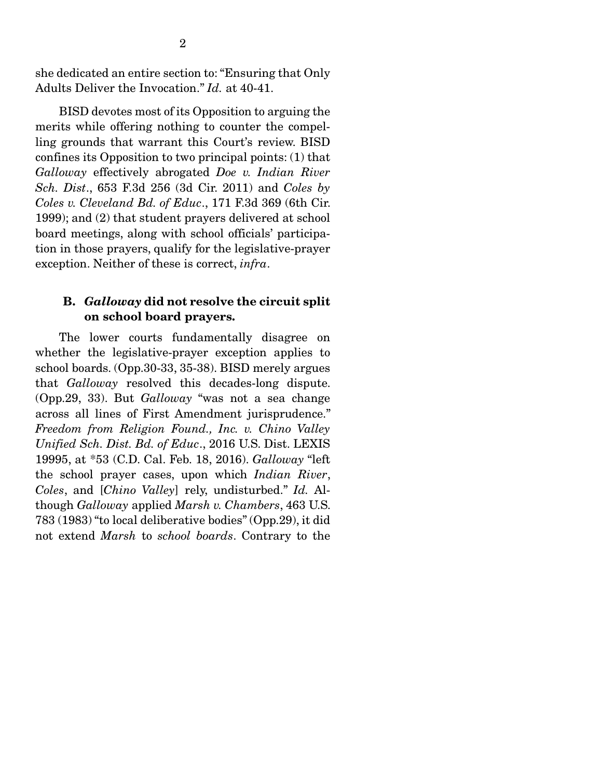she dedicated an entire section to: "Ensuring that Only Adults Deliver the Invocation." *Id.* at 40-41.

 BISD devotes most of its Opposition to arguing the merits while offering nothing to counter the compelling grounds that warrant this Court's review. BISD confines its Opposition to two principal points: (1) that *Galloway* effectively abrogated *Doe v. Indian River Sch. Dist*., 653 F.3d 256 (3d Cir. 2011) and *Coles by Coles v. Cleveland Bd. of Educ*., 171 F.3d 369 (6th Cir. 1999); and (2) that student prayers delivered at school board meetings, along with school officials' participation in those prayers, qualify for the legislative-prayer exception. Neither of these is correct, *infra*.

#### B. *Galloway* did not resolve the circuit split on school board prayers.

The lower courts fundamentally disagree on whether the legislative-prayer exception applies to school boards. (Opp.30-33, 35-38). BISD merely argues that *Galloway* resolved this decades-long dispute. (Opp.29, 33). But *Galloway* "was not a sea change across all lines of First Amendment jurisprudence." *Freedom from Religion Found., Inc. v. Chino Valley Unified Sch. Dist. Bd. of Educ*., 2016 U.S. Dist. LEXIS 19995, at \*53 (C.D. Cal. Feb. 18, 2016). *Galloway* "left the school prayer cases, upon which *Indian River*, *Coles*, and [*Chino Valley*] rely, undisturbed." *Id.* Although *Galloway* applied *Marsh v. Chambers*, 463 U.S. 783 (1983) "to local deliberative bodies" (Opp.29), it did not extend *Marsh* to *school boards*. Contrary to the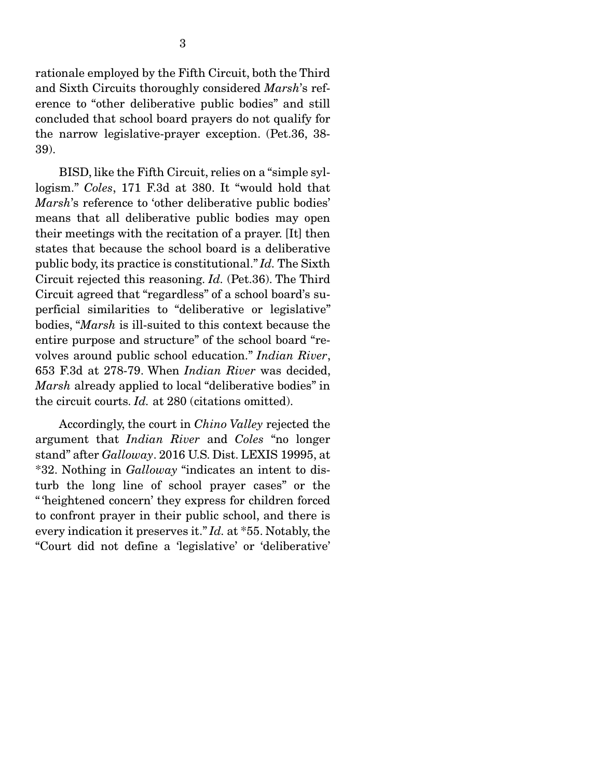rationale employed by the Fifth Circuit, both the Third and Sixth Circuits thoroughly considered *Marsh*'s reference to "other deliberative public bodies" and still concluded that school board prayers do not qualify for the narrow legislative-prayer exception. (Pet.36, 38- 39).

BISD, like the Fifth Circuit, relies on a "simple syllogism." *Coles*, 171 F.3d at 380. It "would hold that *Marsh*'s reference to 'other deliberative public bodies' means that all deliberative public bodies may open their meetings with the recitation of a prayer. [It] then states that because the school board is a deliberative public body, its practice is constitutional." *Id.* The Sixth Circuit rejected this reasoning. *Id.* (Pet.36). The Third Circuit agreed that "regardless" of a school board's superficial similarities to "deliberative or legislative" bodies, "*Marsh* is ill-suited to this context because the entire purpose and structure" of the school board "revolves around public school education." *Indian River*, 653 F.3d at 278-79. When *Indian River* was decided, *Marsh* already applied to local "deliberative bodies" in the circuit courts. *Id.* at 280 (citations omitted).

 Accordingly, the court in *Chino Valley* rejected the argument that *Indian River* and *Coles* "no longer stand" after *Galloway*. 2016 U.S. Dist. LEXIS 19995, at \*32. Nothing in *Galloway* "indicates an intent to disturb the long line of school prayer cases" or the " 'heightened concern' they express for children forced to confront prayer in their public school, and there is every indication it preserves it." *Id.* at \*55. Notably, the "Court did not define a 'legislative' or 'deliberative'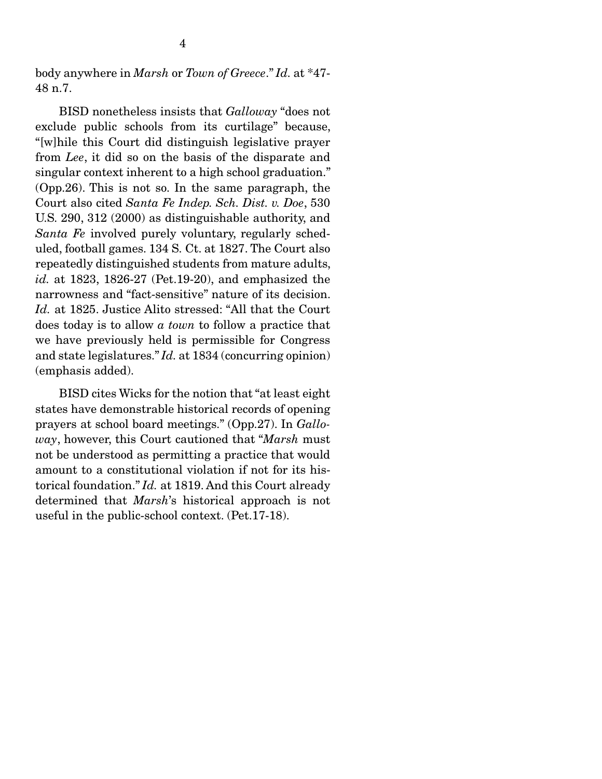body anywhere in *Marsh* or *Town of Greece*." *Id.* at \*47- 48 n.7.

 BISD nonetheless insists that *Galloway* "does not exclude public schools from its curtilage" because, "[w]hile this Court did distinguish legislative prayer from *Lee*, it did so on the basis of the disparate and singular context inherent to a high school graduation." (Opp.26). This is not so. In the same paragraph, the Court also cited *Santa Fe Indep. Sch. Dist. v. Doe*, 530 U.S. 290, 312 (2000) as distinguishable authority, and *Santa Fe* involved purely voluntary, regularly scheduled, football games. 134 S. Ct. at 1827. The Court also repeatedly distinguished students from mature adults, *id.* at 1823, 1826-27 (Pet.19-20), and emphasized the narrowness and "fact-sensitive" nature of its decision. *Id.* at 1825. Justice Alito stressed: "All that the Court does today is to allow *a town* to follow a practice that we have previously held is permissible for Congress and state legislatures." *Id.* at 1834 (concurring opinion) (emphasis added).

 BISD cites Wicks for the notion that "at least eight states have demonstrable historical records of opening prayers at school board meetings." (Opp.27). In *Galloway*, however, this Court cautioned that "*Marsh* must not be understood as permitting a practice that would amount to a constitutional violation if not for its historical foundation." *Id.* at 1819. And this Court already determined that *Marsh*'s historical approach is not useful in the public-school context. (Pet.17-18).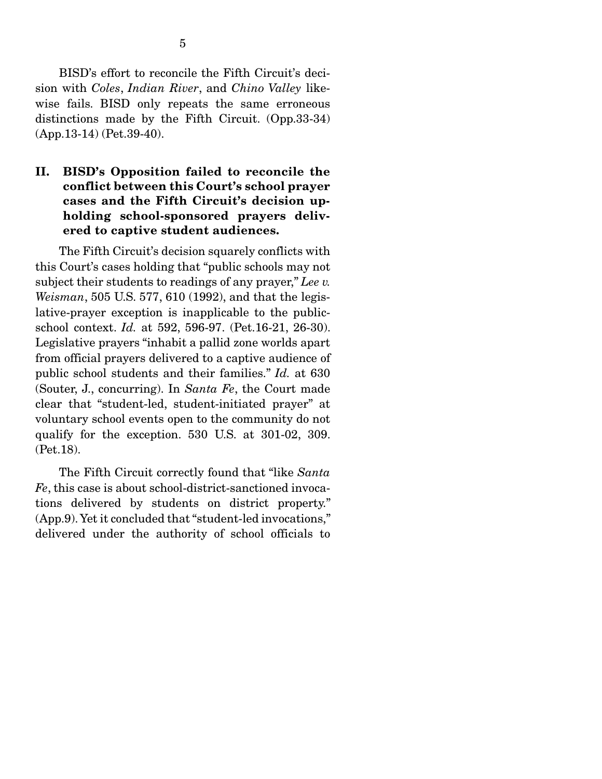BISD's effort to reconcile the Fifth Circuit's decision with *Coles*, *Indian River*, and *Chino Valley* likewise fails. BISD only repeats the same erroneous distinctions made by the Fifth Circuit. (Opp.33-34) (App.13-14) (Pet.39-40).

#### II. BISD's Opposition failed to reconcile the conflict between this Court's school prayer cases and the Fifth Circuit's decision upholding school-sponsored prayers delivered to captive student audiences.

The Fifth Circuit's decision squarely conflicts with this Court's cases holding that "public schools may not subject their students to readings of any prayer," *Lee v. Weisman*, 505 U.S. 577, 610 (1992), and that the legislative-prayer exception is inapplicable to the publicschool context. *Id.* at 592, 596-97. (Pet.16-21, 26-30). Legislative prayers "inhabit a pallid zone worlds apart from official prayers delivered to a captive audience of public school students and their families." *Id.* at 630 (Souter, J., concurring). In *Santa Fe*, the Court made clear that "student-led, student-initiated prayer" at voluntary school events open to the community do not qualify for the exception. 530 U.S. at 301-02, 309. (Pet.18).

 The Fifth Circuit correctly found that "like *Santa Fe*, this case is about school-district-sanctioned invocations delivered by students on district property." (App.9). Yet it concluded that "student-led invocations," delivered under the authority of school officials to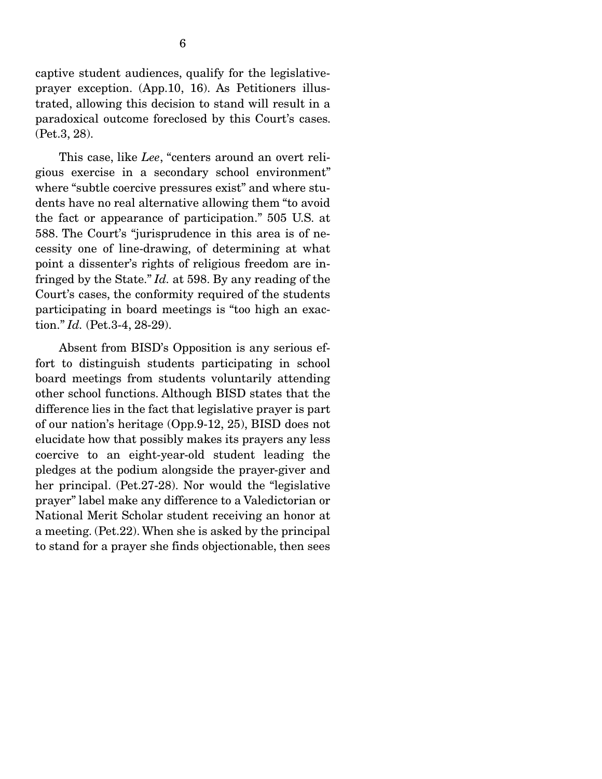captive student audiences, qualify for the legislativeprayer exception. (App.10, 16). As Petitioners illustrated, allowing this decision to stand will result in a paradoxical outcome foreclosed by this Court's cases. (Pet.3, 28).

 This case, like *Lee*, "centers around an overt religious exercise in a secondary school environment" where "subtle coercive pressures exist" and where students have no real alternative allowing them "to avoid the fact or appearance of participation." 505 U.S. at 588. The Court's "jurisprudence in this area is of necessity one of line-drawing, of determining at what point a dissenter's rights of religious freedom are infringed by the State." *Id.* at 598. By any reading of the Court's cases, the conformity required of the students participating in board meetings is "too high an exaction." *Id.* (Pet.3-4, 28-29).

 Absent from BISD's Opposition is any serious effort to distinguish students participating in school board meetings from students voluntarily attending other school functions. Although BISD states that the difference lies in the fact that legislative prayer is part of our nation's heritage (Opp.9-12, 25), BISD does not elucidate how that possibly makes its prayers any less coercive to an eight-year-old student leading the pledges at the podium alongside the prayer-giver and her principal. (Pet.27-28). Nor would the "legislative prayer" label make any difference to a Valedictorian or National Merit Scholar student receiving an honor at a meeting. (Pet.22). When she is asked by the principal to stand for a prayer she finds objectionable, then sees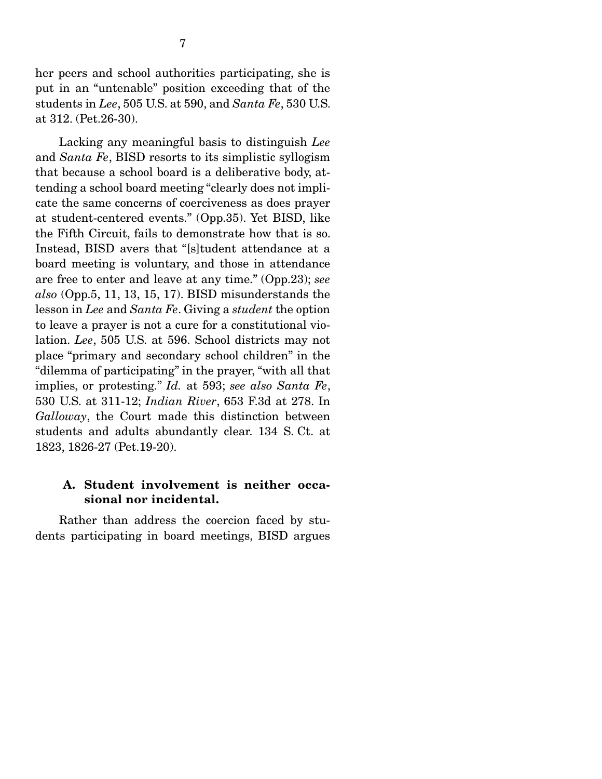her peers and school authorities participating, she is put in an "untenable" position exceeding that of the students in *Lee*, 505 U.S. at 590, and *Santa Fe*, 530 U.S. at 312. (Pet.26-30).

 Lacking any meaningful basis to distinguish *Lee*  and *Santa Fe*, BISD resorts to its simplistic syllogism that because a school board is a deliberative body, attending a school board meeting "clearly does not implicate the same concerns of coerciveness as does prayer at student-centered events." (Opp.35). Yet BISD, like the Fifth Circuit, fails to demonstrate how that is so. Instead, BISD avers that "[s]tudent attendance at a board meeting is voluntary, and those in attendance are free to enter and leave at any time." (Opp.23); *see also* (Opp.5, 11, 13, 15, 17). BISD misunderstands the lesson in *Lee* and *Santa Fe*. Giving a *student* the option to leave a prayer is not a cure for a constitutional violation. *Lee*, 505 U.S. at 596. School districts may not place "primary and secondary school children" in the "dilemma of participating" in the prayer, "with all that implies, or protesting." *Id.* at 593; *see also Santa Fe*, 530 U.S. at 311-12; *Indian River*, 653 F.3d at 278. In *Galloway*, the Court made this distinction between students and adults abundantly clear. 134 S. Ct. at 1823, 1826-27 (Pet.19-20).

#### A. Student involvement is neither occasional nor incidental.

 Rather than address the coercion faced by students participating in board meetings, BISD argues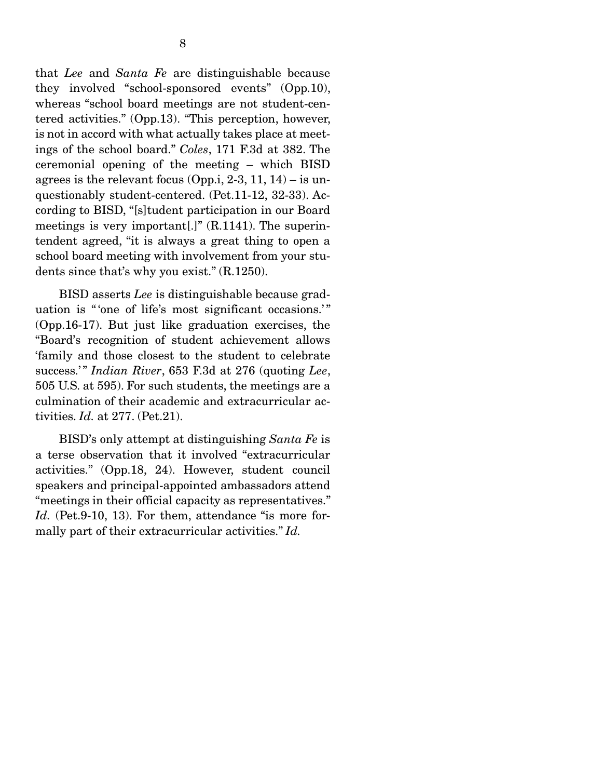that *Lee* and *Santa Fe* are distinguishable because they involved "school-sponsored events" (Opp.10), whereas "school board meetings are not student-centered activities." (Opp.13). "This perception, however, is not in accord with what actually takes place at meetings of the school board." *Coles*, 171 F.3d at 382. The ceremonial opening of the meeting – which BISD agrees is the relevant focus (Opp.i, 2-3, 11, 14) – is unquestionably student-centered. (Pet.11-12, 32-33). According to BISD, "[s]tudent participation in our Board meetings is very important[.]" (R.1141). The superintendent agreed, "it is always a great thing to open a school board meeting with involvement from your students since that's why you exist." (R.1250).

 BISD asserts *Lee* is distinguishable because graduation is " 'one of life's most significant occasions.'" (Opp.16-17). But just like graduation exercises, the "Board's recognition of student achievement allows 'family and those closest to the student to celebrate success.'" *Indian River*, 653 F.3d at 276 (quoting *Lee*, 505 U.S. at 595). For such students, the meetings are a culmination of their academic and extracurricular activities. *Id.* at 277. (Pet.21).

 BISD's only attempt at distinguishing *Santa Fe* is a terse observation that it involved "extracurricular activities." (Opp.18, 24). However, student council speakers and principal-appointed ambassadors attend "meetings in their official capacity as representatives." Id. (Pet.9-10, 13). For them, attendance "is more formally part of their extracurricular activities." *Id.*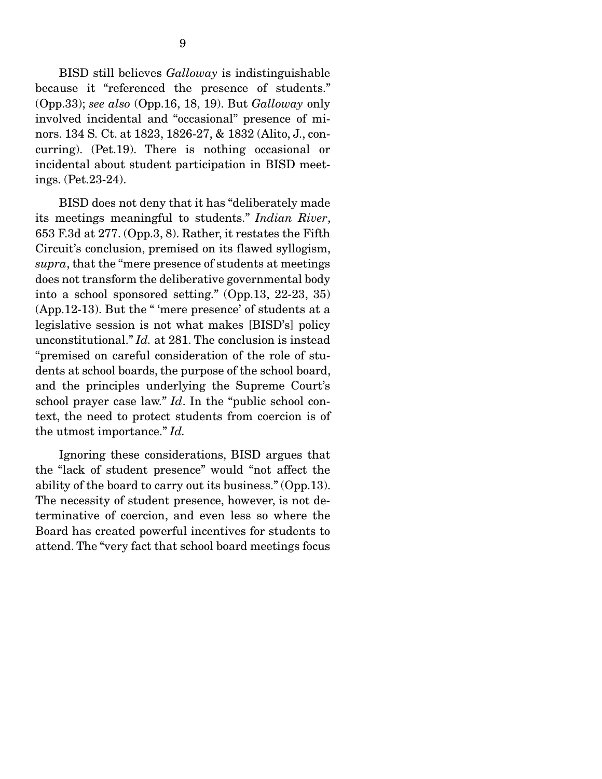BISD still believes *Galloway* is indistinguishable because it "referenced the presence of students." (Opp.33); *see also* (Opp.16, 18, 19). But *Galloway* only involved incidental and "occasional" presence of minors. 134 S. Ct. at 1823, 1826-27, & 1832 (Alito, J., concurring). (Pet.19). There is nothing occasional or incidental about student participation in BISD meetings. (Pet.23-24).

 BISD does not deny that it has "deliberately made its meetings meaningful to students." *Indian River*, 653 F.3d at 277. (Opp.3, 8). Rather, it restates the Fifth Circuit's conclusion, premised on its flawed syllogism, *supra*, that the "mere presence of students at meetings does not transform the deliberative governmental body into a school sponsored setting." (Opp.13, 22-23, 35) (App.12-13). But the " 'mere presence' of students at a legislative session is not what makes [BISD's] policy unconstitutional." *Id.* at 281. The conclusion is instead "premised on careful consideration of the role of students at school boards, the purpose of the school board, and the principles underlying the Supreme Court's school prayer case law." *Id*. In the "public school context, the need to protect students from coercion is of the utmost importance." *Id.*

 Ignoring these considerations, BISD argues that the "lack of student presence" would "not affect the ability of the board to carry out its business." (Opp.13). The necessity of student presence, however, is not determinative of coercion, and even less so where the Board has created powerful incentives for students to attend. The "very fact that school board meetings focus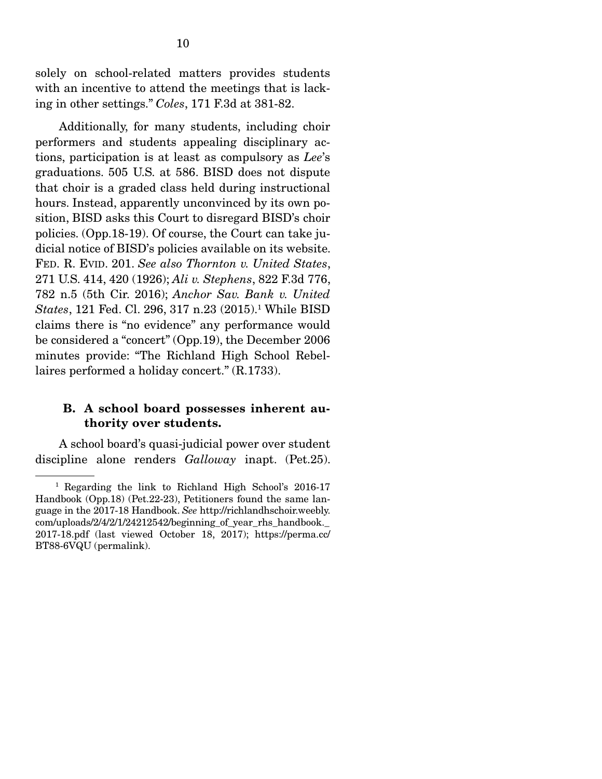solely on school-related matters provides students with an incentive to attend the meetings that is lacking in other settings." *Coles*, 171 F.3d at 381-82.

 Additionally, for many students, including choir performers and students appealing disciplinary actions, participation is at least as compulsory as *Lee*'s graduations. 505 U.S. at 586. BISD does not dispute that choir is a graded class held during instructional hours. Instead, apparently unconvinced by its own position, BISD asks this Court to disregard BISD's choir policies. (Opp.18-19). Of course, the Court can take judicial notice of BISD's policies available on its website. FED. R. EVID. 201. *See also Thornton v. United States*, 271 U.S. 414, 420 (1926); *Ali v. Stephens*, 822 F.3d 776, 782 n.5 (5th Cir. 2016); *Anchor Sav. Bank v. United States*, 121 Fed. Cl. 296, 317 n.23 (2015).1 While BISD claims there is "no evidence" any performance would be considered a "concert" (Opp.19), the December 2006 minutes provide: "The Richland High School Rebellaires performed a holiday concert." (R.1733).

#### B. A school board possesses inherent authority over students.

A school board's quasi-judicial power over student discipline alone renders *Galloway* inapt. (Pet.25).

<sup>&</sup>lt;sup>1</sup> Regarding the link to Richland High School's 2016-17 Handbook (Opp.18) (Pet.22-23), Petitioners found the same language in the 2017-18 Handbook. *See* http://richlandhschoir.weebly. com/uploads/2/4/2/1/24212542/beginning\_of\_year\_rhs\_handbook.\_ 2017-18.pdf (last viewed October 18, 2017); https://perma.cc/ BT88-6VQU (permalink).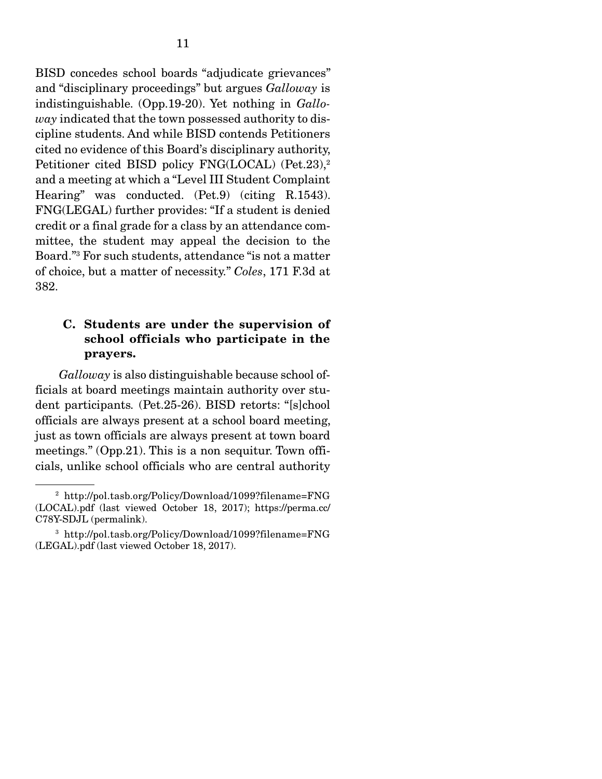BISD concedes school boards "adjudicate grievances" and "disciplinary proceedings" but argues *Galloway* is indistinguishable. (Opp.19-20). Yet nothing in *Galloway* indicated that the town possessed authority to discipline students. And while BISD contends Petitioners cited no evidence of this Board's disciplinary authority, Petitioner cited BISD policy FNG(LOCAL) (Pet.23),<sup>2</sup> and a meeting at which a "Level III Student Complaint Hearing" was conducted. (Pet.9) (citing R.1543). FNG(LEGAL) further provides: "If a student is denied credit or a final grade for a class by an attendance committee, the student may appeal the decision to the Board."3 For such students, attendance "is not a matter of choice, but a matter of necessity." *Coles*, 171 F.3d at 382.

#### C. Students are under the supervision of school officials who participate in the prayers.

*Galloway* is also distinguishable because school officials at board meetings maintain authority over student participants*.* (Pet.25-26). BISD retorts: "[s]chool officials are always present at a school board meeting, just as town officials are always present at town board meetings." (Opp.21). This is a non sequitur. Town officials, unlike school officials who are central authority

<sup>2</sup> http://pol.tasb.org/Policy/Download/1099?filename=FNG (LOCAL).pdf (last viewed October 18, 2017); https://perma.cc/ C78Y-SDJL (permalink).

<sup>3</sup> http://pol.tasb.org/Policy/Download/1099?filename=FNG (LEGAL).pdf (last viewed October 18, 2017).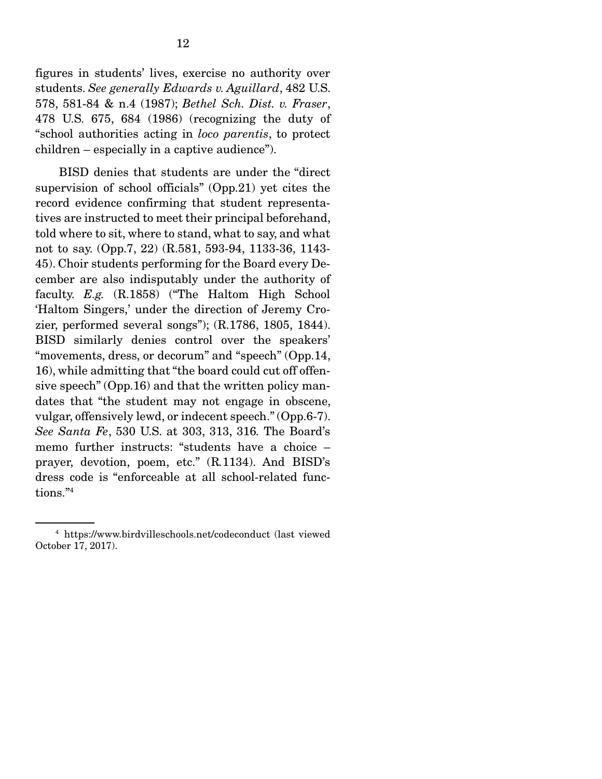figures in students' lives, exercise no authority over students. *See generally Edwards v. Aguillard*, 482 U.S. 578, 581-84 & n.4 (1987); *Bethel Sch. Dist. v. Fraser*, 478 U.S. 675, 684 (1986) (recognizing the duty of "school authorities acting in *loco parentis*, to protect children – especially in a captive audience").

 BISD denies that students are under the "direct supervision of school officials" (Opp.21) yet cites the record evidence confirming that student representatives are instructed to meet their principal beforehand, told where to sit, where to stand, what to say, and what not to say. (Opp.7, 22) (R.581, 593-94, 1133-36, 1143- 45). Choir students performing for the Board every December are also indisputably under the authority of faculty. *E.g.* (R.1858) ("The Haltom High School 'Haltom Singers,' under the direction of Jeremy Crozier, performed several songs"); (R.1786, 1805, 1844). BISD similarly denies control over the speakers' "movements, dress, or decorum" and "speech" (Opp.14, 16), while admitting that "the board could cut off offensive speech" (Opp.16) and that the written policy mandates that "the student may not engage in obscene, vulgar, offensively lewd, or indecent speech." (Opp.6-7). *See Santa Fe*, 530 U.S. at 303, 313, 316*.* The Board's memo further instructs: "students have a choice – prayer, devotion, poem, etc." (R*.*1134). And BISD's dress code is "enforceable at all school-related functions."4

<sup>4</sup> https://www.birdvilleschools.net/codeconduct (last viewed October 17, 2017).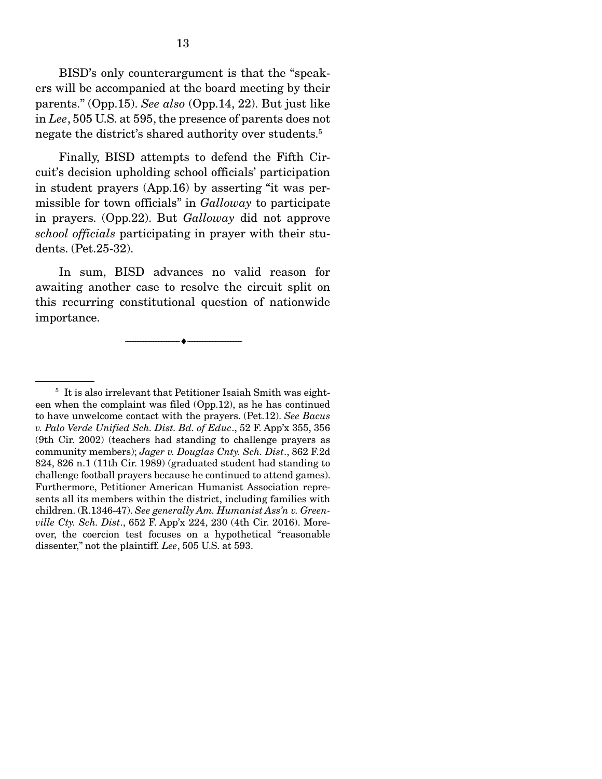BISD's only counterargument is that the "speakers will be accompanied at the board meeting by their parents." (Opp.15). *See also* (Opp.14, 22). But just like in *Lee*, 505 U.S. at 595, the presence of parents does not negate the district's shared authority over students.5

 Finally, BISD attempts to defend the Fifth Circuit's decision upholding school officials' participation in student prayers (App.16) by asserting "it was permissible for town officials" in *Galloway* to participate in prayers. (Opp.22). But *Galloway* did not approve *school officials* participating in prayer with their students. (Pet.25-32).

 In sum, BISD advances no valid reason for awaiting another case to resolve the circuit split on this recurring constitutional question of nationwide importance.

--------------------------------- ---------------------------------

<sup>5</sup> It is also irrelevant that Petitioner Isaiah Smith was eighteen when the complaint was filed (Opp.12), as he has continued to have unwelcome contact with the prayers. (Pet.12). *See Bacus v. Palo Verde Unified Sch. Dist. Bd. of Educ*., 52 F. App'x 355, 356 (9th Cir. 2002) (teachers had standing to challenge prayers as community members); *Jager v. Douglas Cnty. Sch. Dist*., 862 F.2d 824, 826 n.1 (11th Cir. 1989) (graduated student had standing to challenge football prayers because he continued to attend games). Furthermore, Petitioner American Humanist Association represents all its members within the district, including families with children. (R.1346-47). *See generally Am. Humanist Ass'n v. Greenville Cty. Sch. Dist*., 652 F. App'x 224, 230 (4th Cir. 2016). Moreover, the coercion test focuses on a hypothetical "reasonable dissenter," not the plaintiff. *Lee*, 505 U.S. at 593.